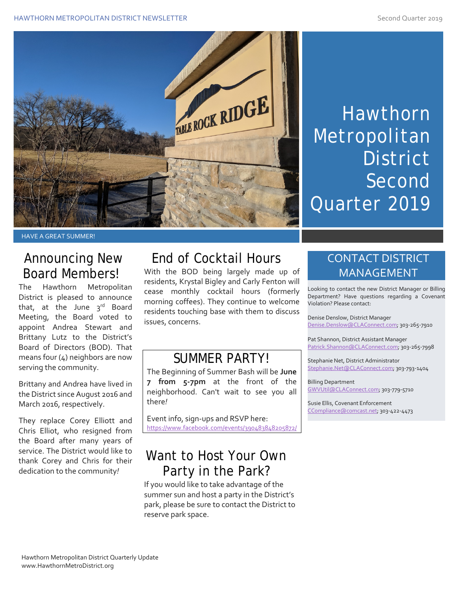

# Hawthorn Metropolitan **District** Second Quarter 2019

#### HAVE A GREAT SUMMER!

#### Announcing New Board Members!

The Hawthorn Metropolitan District is pleased to announce that, at the June  $3<sup>rd</sup>$  Board Meeting, the Board voted to appoint Andrea Stewart and Brittany Lutz to the District's Board of Directors (BOD). That means four (4) neighbors are now serving the community.

Brittany and Andrea have lived in the District since August 2016 and March 2016, respectively.

They replace Corey Elliott and Chris Elliot, who resigned from the Board after many years of service. The District would like to thank Corey and Chris for their dedication to the community*!*

## End of Cocktail Hours

With the BOD being largely made up of residents, Krystal Bigley and Carly Fenton will cease monthly cocktail hours (formerly morning coffees). They continue to welcome residents touching base with them to discuss issues, concerns.

## SUMMER PARTY!

The Beginning of Summer Bash will be **June 7 from 5-7pm** at the front of the neighborhood. Can't wait to see you all there*!*

Event info, sign-ups and RSVP here: <https://www.facebook.com/events/390483848205872/>

### Want to Host Your Own Party in the Park?

If you would like to take advantage of the summer sun and host a party in the District's park, please be sure to contact the District to reserve park space.

#### CONTACT DISTRICT MANAGEMENT

Looking to contact the new District Manager or Billing Department? Have questions regarding a Covenant Violation? Please contact:

Denise Denslow, District Manager [Denise.Denslow@CLAConnect.com;](mailto:Denise.Denslow@CLAConnect.com) 303-265-7910

Pat Shannon, District Assistant Manager [Patrick.Shannon@CLAConnect.com;](mailto:Patrick.Shannon@CLAConnect.com) 303-265-7998

Stephanie Net, District Administrator [Stephanie.Net@CLAConnect.com;](mailto:Stephanie.Net@CLAConnect.com) 303-793-1404

Billing Department [GWVUtil@CLAConnect.com;](mailto:GWVUtil@CLAConnect.com) 303-779-5710

Susie Ellis, Covenant Enforcement [CCompliance@comcast.net;](mailto:CCompliance@comcast.net) 303-422-4473